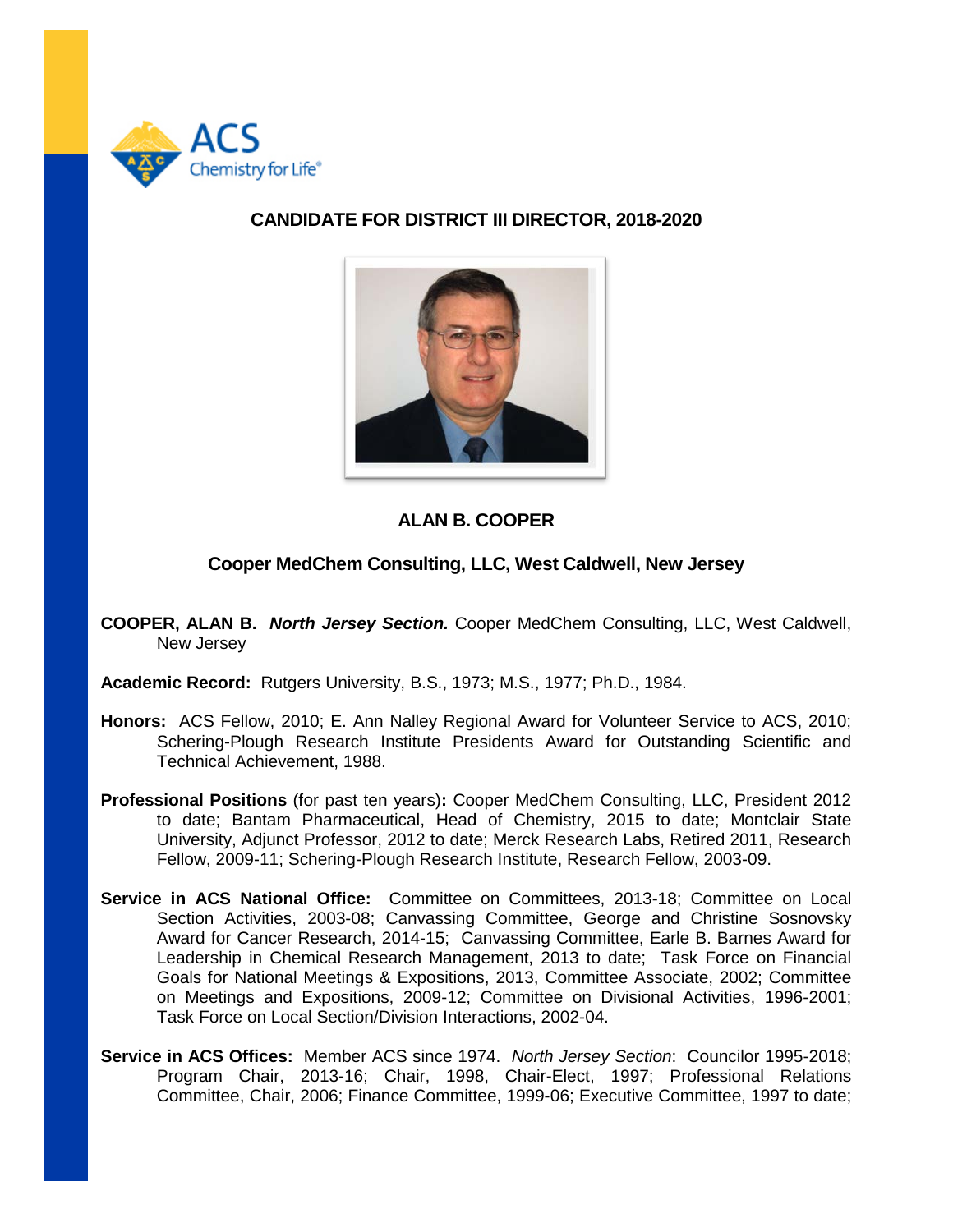

## **CANDIDATE FOR DISTRICT III DIRECTOR, 2018-2020**



## **ALAN B. COOPER**

## **Cooper MedChem Consulting, LLC, West Caldwell, New Jersey**

- **COOPER, ALAN B.** *North Jersey Section.* Cooper MedChem Consulting, LLC, West Caldwell, New Jersey
- **Academic Record:** Rutgers University, B.S., 1973; M.S., 1977; Ph.D., 1984.
- **Honors:** ACS Fellow, 2010; E. Ann Nalley Regional Award for Volunteer Service to ACS, 2010; Schering-Plough Research Institute Presidents Award for Outstanding Scientific and Technical Achievement, 1988.
- **Professional Positions** (for past ten years)**:** Cooper MedChem Consulting, LLC, President 2012 to date; Bantam Pharmaceutical, Head of Chemistry, 2015 to date; Montclair State University, Adjunct Professor, 2012 to date; Merck Research Labs, Retired 2011, Research Fellow, 2009-11; Schering-Plough Research Institute, Research Fellow, 2003-09.
- **Service in ACS National Office:** Committee on Committees, 2013-18; Committee on Local Section Activities, 2003-08; Canvassing Committee, George and Christine Sosnovsky Award for Cancer Research, 2014-15; Canvassing Committee, Earle B. Barnes Award for Leadership in Chemical Research Management, 2013 to date; Task Force on Financial Goals for National Meetings & Expositions, 2013, Committee Associate, 2002; Committee on Meetings and Expositions, 2009-12; Committee on Divisional Activities, 1996-2001; Task Force on Local Section/Division Interactions, 2002-04.
- **Service in ACS Offices:** Member ACS since 1974. *North Jersey Section*: Councilor 1995-2018; Program Chair, 2013-16; Chair, 1998, Chair-Elect, 1997; Professional Relations Committee, Chair, 2006; Finance Committee, 1999-06; Executive Committee, 1997 to date;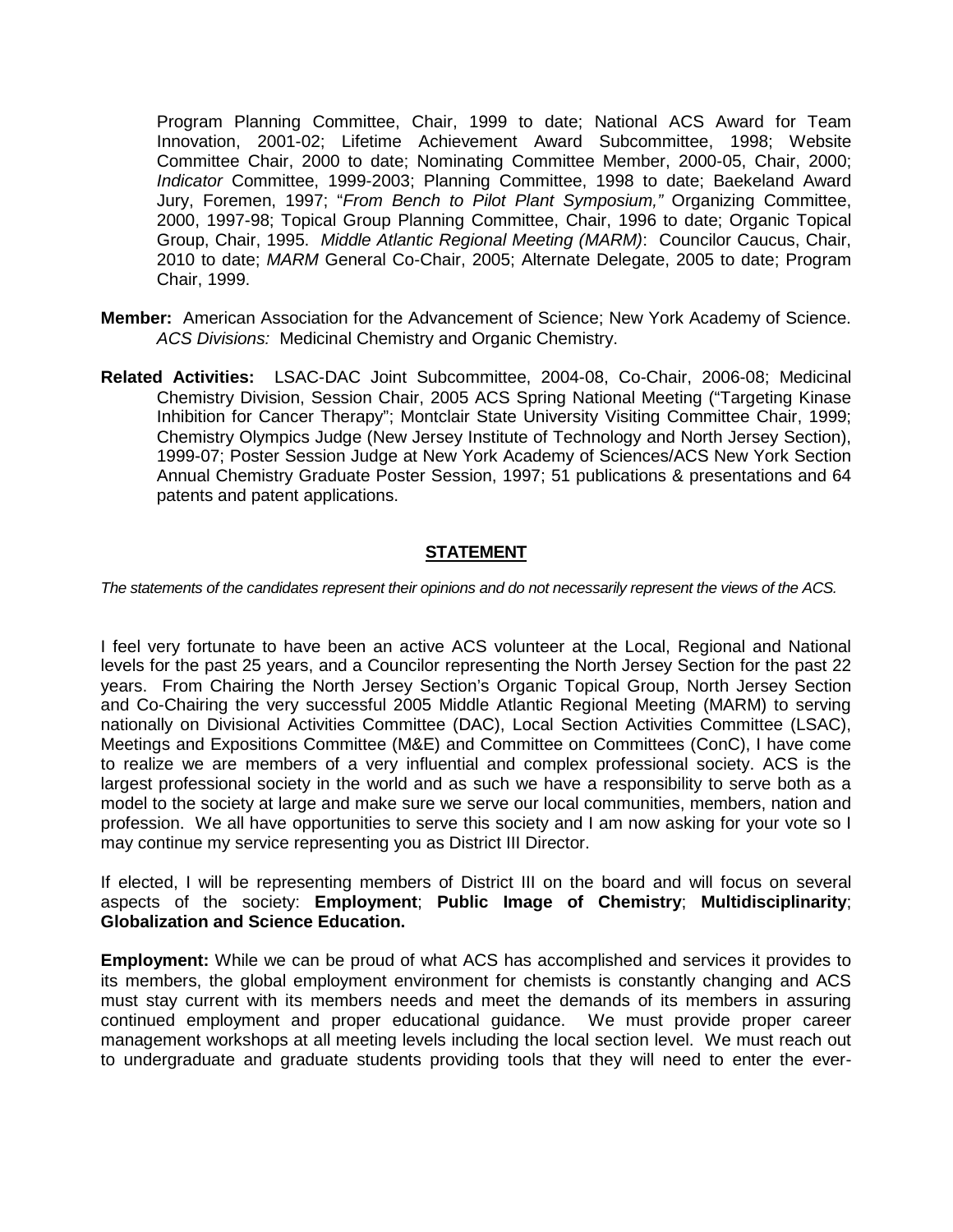Program Planning Committee, Chair, 1999 to date; National ACS Award for Team Innovation, 2001-02; Lifetime Achievement Award Subcommittee, 1998; Website Committee Chair, 2000 to date; Nominating Committee Member, 2000-05, Chair, 2000; *Indicator* Committee, 1999-2003; Planning Committee, 1998 to date; Baekeland Award Jury, Foremen, 1997; "*From Bench to Pilot Plant Symposium,"* Organizing Committee, 2000, 1997-98; Topical Group Planning Committee, Chair, 1996 to date; Organic Topical Group, Chair, 1995. *Middle Atlantic Regional Meeting (MARM)*: Councilor Caucus, Chair, 2010 to date; *MARM* General Co-Chair, 2005; Alternate Delegate, 2005 to date; Program Chair, 1999.

- **Member:** American Association for the Advancement of Science; New York Academy of Science. *ACS Divisions:* Medicinal Chemistry and Organic Chemistry.
- **Related Activities:** LSAC-DAC Joint Subcommittee, 2004-08, Co-Chair, 2006-08; Medicinal Chemistry Division, Session Chair, 2005 ACS Spring National Meeting ("Targeting Kinase Inhibition for Cancer Therapy"; Montclair State University Visiting Committee Chair, 1999; Chemistry Olympics Judge (New Jersey Institute of Technology and North Jersey Section), 1999-07; Poster Session Judge at New York Academy of Sciences/ACS New York Section Annual Chemistry Graduate Poster Session, 1997; 51 publications & presentations and 64 patents and patent applications.

## **STATEMENT**

*The statements of the candidates represent their opinions and do not necessarily represent the views of the ACS.*

I feel very fortunate to have been an active ACS volunteer at the Local, Regional and National levels for the past 25 years, and a Councilor representing the North Jersey Section for the past 22 years. From Chairing the North Jersey Section's Organic Topical Group, North Jersey Section and Co-Chairing the very successful 2005 Middle Atlantic Regional Meeting (MARM) to serving nationally on Divisional Activities Committee (DAC), Local Section Activities Committee (LSAC), Meetings and Expositions Committee (M&E) and Committee on Committees (ConC), I have come to realize we are members of a very influential and complex professional society. ACS is the largest professional society in the world and as such we have a responsibility to serve both as a model to the society at large and make sure we serve our local communities, members, nation and profession. We all have opportunities to serve this society and I am now asking for your vote so I may continue my service representing you as District III Director.

If elected, I will be representing members of District III on the board and will focus on several aspects of the society: **Employment**; **Public Image of Chemistry**; **Multidisciplinarity**; **Globalization and Science Education.**

**Employment:** While we can be proud of what ACS has accomplished and services it provides to its members, the global employment environment for chemists is constantly changing and ACS must stay current with its members needs and meet the demands of its members in assuring continued employment and proper educational guidance. We must provide proper career management workshops at all meeting levels including the local section level. We must reach out to undergraduate and graduate students providing tools that they will need to enter the ever